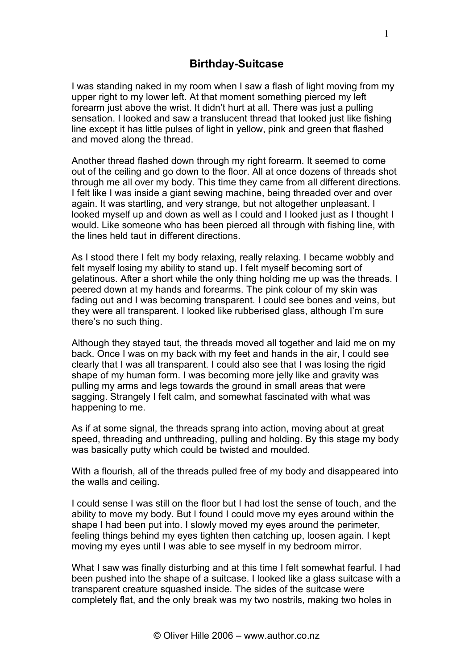I was standing naked in my room when I saw a flash of light moving from my upper right to my lower left. At that moment something pierced my left forearm just above the wrist. It didn't hurt at all. There was just a pulling sensation. I looked and saw a translucent thread that looked just like fishing line except it has little pulses of light in yellow, pink and green that flashed and moved along the thread.

Another thread flashed down through my right forearm. It seemed to come out of the ceiling and go down to the floor. All at once dozens of threads shot through me all over my body. This time they came from all different directions. I felt like I was inside a giant sewing machine, being threaded over and over again. It was startling, and very strange, but not altogether unpleasant. I looked myself up and down as well as I could and I looked just as I thought I would. Like someone who has been pierced all through with fishing line, with the lines held taut in different directions.

As I stood there I felt my body relaxing, really relaxing. I became wobbly and felt myself losing my ability to stand up. I felt myself becoming sort of gelatinous. After a short while the only thing holding me up was the threads. I peered down at my hands and forearms. The pink colour of my skin was fading out and I was becoming transparent. I could see bones and veins, but they were all transparent. I looked like rubberised glass, although I'm sure there's no such thing.

Although they stayed taut, the threads moved all together and laid me on my back. Once I was on my back with my feet and hands in the air, I could see clearly that I was all transparent. I could also see that I was losing the rigid shape of my human form. I was becoming more jelly like and gravity was pulling my arms and legs towards the ground in small areas that were sagging. Strangely I felt calm, and somewhat fascinated with what was happening to me.

As if at some signal, the threads sprang into action, moving about at great speed, threading and unthreading, pulling and holding. By this stage my body was basically putty which could be twisted and moulded.

With a flourish, all of the threads pulled free of my body and disappeared into the walls and ceiling.

I could sense I was still on the floor but I had lost the sense of touch, and the ability to move my body. But I found I could move my eyes around within the shape I had been put into. I slowly moved my eyes around the perimeter, feeling things behind my eyes tighten then catching up, loosen again. I kept moving my eyes until I was able to see myself in my bedroom mirror.

What I saw was finally disturbing and at this time I felt somewhat fearful. I had been pushed into the shape of a suitcase. I looked like a glass suitcase with a transparent creature squashed inside. The sides of the suitcase were completely flat, and the only break was my two nostrils, making two holes in